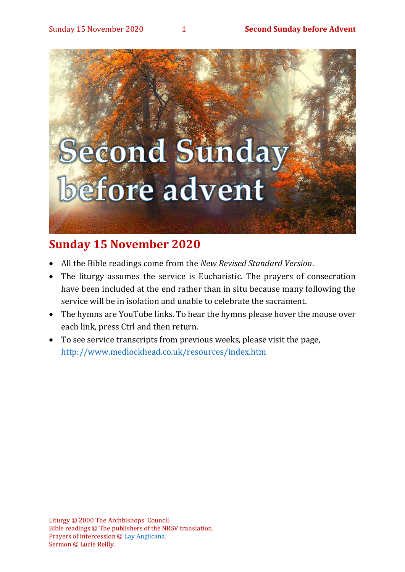

# **Sunday 15 November 2020**

- All the Bible readings come from the *New Revised Standard Version*.
- The liturgy assumes the service is Eucharistic. The prayers of consecration have been included at the end rather than in situ because many following the service will be in isolation and unable to celebrate the sacrament.
- The hymns are YouTube links. To hear the hymns please hover the mouse over each link, press Ctrl and then return.
- To see service transcripts from previous weeks, please visit the page, <http://www.medlockhead.co.uk/resources/index.htm>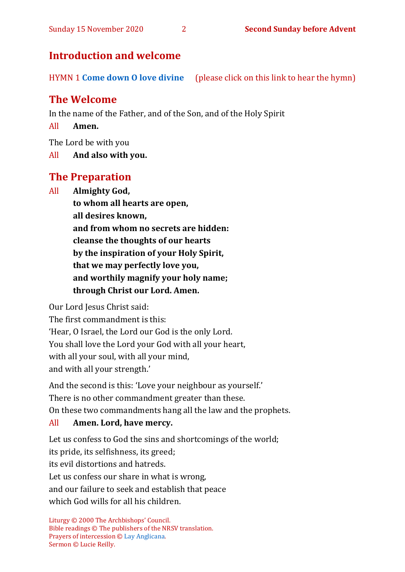## **Introduction and welcome**

HYMN 1 **[Come down O love divine](https://m.youtube.com/watch?v=6HPKL1wOVXk&list=RD6HPKL1wOVXk&start_radio=1)** (please click on this link to hear the hymn)

# **The Welcome**

In the name of the Father, and of the Son, and of the Holy Spirit

All **Amen.**

The Lord be with you

All **And also with you.**

# **The Preparation**

All **Almighty God,**

**to whom all hearts are open, all desires known, and from whom no secrets are hidden: cleanse the thoughts of our hearts by the inspiration of your Holy Spirit, that we may perfectly love you, and worthily magnify your holy name; through Christ our Lord. Amen.**

Our Lord Jesus Christ said:

The first commandment is this: 'Hear, O Israel, the Lord our God is the only Lord. You shall love the Lord your God with all your heart, with all your soul, with all your mind, and with all your strength.'

And the second is this: 'Love your neighbour as yourself.' There is no other commandment greater than these. On these two commandments hang all the law and the prophets.

## All **Amen. Lord, have mercy.**

Let us confess to God the sins and shortcomings of the world; its pride, its selfishness, its greed; its evil distortions and hatreds. Let us confess our share in what is wrong, and our failure to seek and establish that peace which God wills for all his children.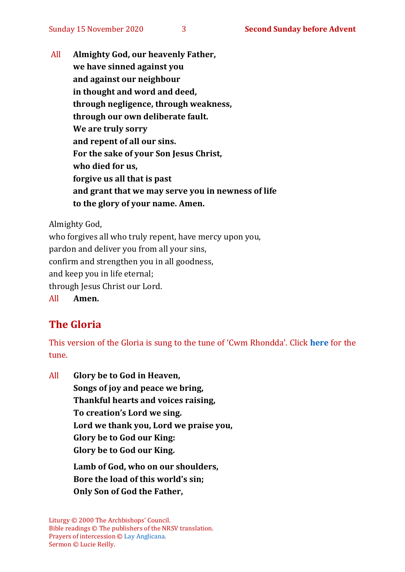All **Almighty God, our heavenly Father, we have sinned against you and against our neighbour in thought and word and deed, through negligence, through weakness, through our own deliberate fault. We are truly sorry and repent of all our sins. For the sake of your Son Jesus Christ, who died for us, forgive us all that is past and grant that we may serve you in newness of life to the glory of your name. Amen.**

Almighty God,

who forgives all who truly repent, have mercy upon you, pardon and deliver you from all your sins, confirm and strengthen you in all goodness, and keep you in life eternal; through Jesus Christ our Lord. All **Amen.**

# **The Gloria**

This version of the Gloria is sung to the tune of 'Cwm Rhondda'. Click **[here](about:blank)** for the tune.

All **Glory be to God in Heaven, Songs of joy and peace we bring, Thankful hearts and voices raising, To creation's Lord we sing. Lord we thank you, Lord we praise you, Glory be to God our King: Glory be to God our King. Lamb of God, who on our shoulders, Bore the load of this world's sin; Only Son of God the Father,**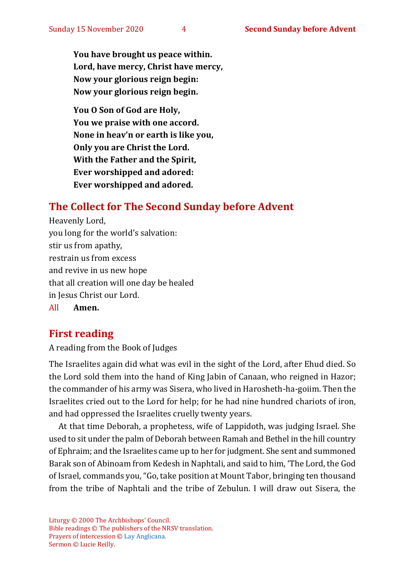**You have brought us peace within. Lord, have mercy, Christ have mercy, Now your glorious reign begin: Now your glorious reign begin.**

**You O Son of God are Holy, You we praise with one accord. None in heav'n or earth is like you, Only you are Christ the Lord. With the Father and the Spirit, Ever worshipped and adored: Ever worshipped and adored.**

# **The Collect for The Second Sunday before Advent**

Heavenly Lord, you long for the world's salvation: stir us from apathy, restrain us from excess and revive in us new hope that all creation will one day be healed in Jesus Christ our Lord.

All **Amen.**

## **First reading**

A reading from the Book of Judges

The Israelites again did what was evil in the sight of the Lord, after Ehud died. So the Lord sold them into the hand of King Jabin of Canaan, who reigned in Hazor; the commander of his army was Sisera, who lived in Harosheth-ha-goiim. Then the Israelites cried out to the Lord for help; for he had nine hundred chariots of iron, and had oppressed the Israelites cruelly twenty years.

At that time Deborah, a prophetess, wife of Lappidoth, was judging Israel. She used to sit under the palm of Deborah between Ramah and Bethel in the hill country of Ephraim; and the Israelites came up to her for judgment. She sent and summoned Barak son of Abinoam from Kedesh in Naphtali, and said to him, 'The Lord, the God of Israel, commands you, "Go, take position at Mount Tabor, bringing ten thousand from the tribe of Naphtali and the tribe of Zebulun. I will draw out Sisera, the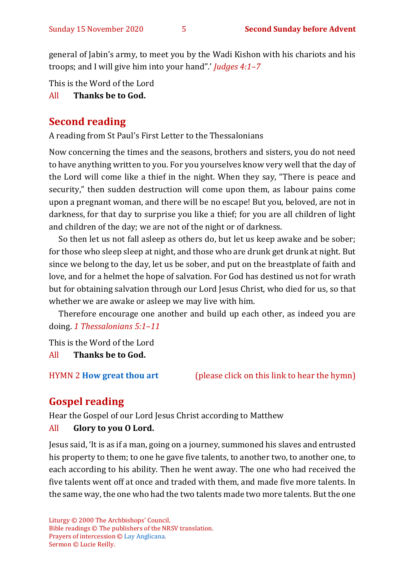general of Jabin's army, to meet you by the Wadi Kishon with his chariots and his troops; and I will give him into your hand".' *Judges 4:1–7*

This is the Word of the Lord

#### All **Thanks be to God.**

### **Second reading**

A reading from St Paul's First Letter to the Thessalonians

Now concerning the times and the seasons, brothers and sisters, you do not need to have anything written to you. For you yourselves know very well that the day of the Lord will come like a thief in the night. When they say, "There is peace and security," then sudden destruction will come upon them, as labour pains come upon a pregnant woman, and there will be no escape! But you, beloved, are not in darkness, for that day to surprise you like a thief; for you are all children of light and children of the day; we are not of the night or of darkness.

So then let us not fall asleep as others do, but let us keep awake and be sober; for those who sleep sleep at night, and those who are drunk get drunk at night. But since we belong to the day, let us be sober, and put on the breastplate of faith and love, and for a helmet the hope of salvation. For God has destined us not for wrath but for obtaining salvation through our Lord Jesus Christ, who died for us, so that whether we are awake or asleep we may live with him.

Therefore encourage one another and build up each other, as indeed you are doing. *1 Thessalonians 5:1–11*

This is the Word of the Lord

All **Thanks be to God.**

HYMN 2 **[How great thou art](https://m.youtube.com/watch?v=Cc0QVWzCv9k)** (please click on this link to hear the hymn)

# **Gospel reading**

Hear the Gospel of our Lord Jesus Christ according to Matthew All **Glory to you O Lord.**

Jesus said, 'It is as if a man, going on a journey, summoned his slaves and entrusted his property to them; to one he gave five talents, to another two, to another one, to each according to his ability. Then he went away. The one who had received the five talents went off at once and traded with them, and made five more talents. In the same way, the one who had the two talents made two more talents. But the one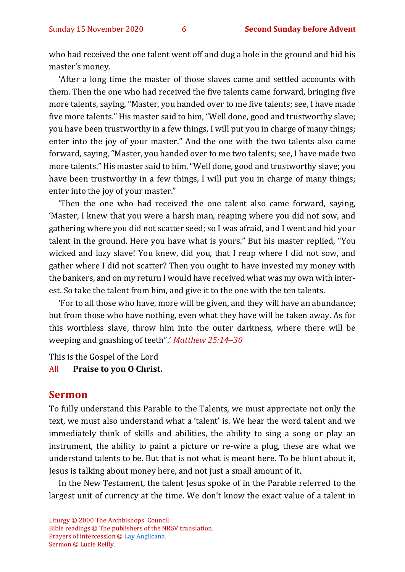who had received the one talent went off and dug a hole in the ground and hid his master's money.

'After a long time the master of those slaves came and settled accounts with them. Then the one who had received the five talents came forward, bringing five more talents, saying, "Master, you handed over to me five talents; see, I have made five more talents." His master said to him, "Well done, good and trustworthy slave; you have been trustworthy in a few things, I will put you in charge of many things; enter into the joy of your master." And the one with the two talents also came forward, saying, "Master, you handed over to me two talents; see, I have made two more talents." His master said to him, "Well done, good and trustworthy slave; you have been trustworthy in a few things, I will put you in charge of many things; enter into the joy of your master."

'Then the one who had received the one talent also came forward, saying, 'Master, I knew that you were a harsh man, reaping where you did not sow, and gathering where you did not scatter seed; so I was afraid, and I went and hid your talent in the ground. Here you have what is yours." But his master replied, "You wicked and lazy slave! You knew, did you, that I reap where I did not sow, and gather where I did not scatter? Then you ought to have invested my money with the bankers, and on my return I would have received what was my own with interest. So take the talent from him, and give it to the one with the ten talents.

'For to all those who have, more will be given, and they will have an abundance; but from those who have nothing, even what they have will be taken away. As for this worthless slave, throw him into the outer darkness, where there will be weeping and gnashing of teeth".' *Matthew 25:14–30*

This is the Gospel of the Lord

All **Praise to you O Christ.** 

#### **Sermon**

To fully understand this Parable to the Talents, we must appreciate not only the text, we must also understand what a 'talent' is. We hear the word talent and we immediately think of skills and abilities, the ability to sing a song or play an instrument, the ability to paint a picture or re-wire a plug, these are what we understand talents to be. But that is not what is meant here. To be blunt about it, Jesus is talking about money here, and not just a small amount of it.

In the New Testament, the talent Jesus spoke of in the Parable referred to the largest unit of currency at the time. We don't know the exact value of a talent in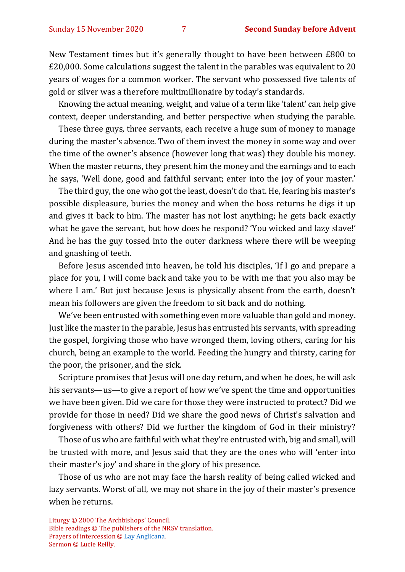New Testament times but it's generally thought to have been between £800 to £20,000. Some calculations suggest the talent in the parables was equivalent to 20 years of wages for a common worker. The servant who possessed five talents of gold or silver was a therefore multimillionaire by today's standards.

Knowing the actual meaning, weight, and value of a term like 'talent' can help give context, deeper understanding, and better perspective when studying the parable.

These three guys, three servants, each receive a huge sum of money to manage during the master's absence. Two of them invest the money in some way and over the time of the owner's absence (however long that was) they double his money. When the master returns, they present him the money and the earnings and to each he says, 'Well done, good and faithful servant; enter into the joy of your master.'

The third guy, the one who got the least, doesn't do that. He, fearing his master's possible displeasure, buries the money and when the boss returns he digs it up and gives it back to him. The master has not lost anything; he gets back exactly what he gave the servant, but how does he respond? 'You wicked and lazy slave!' And he has the guy tossed into the outer darkness where there will be weeping and gnashing of teeth.

Before Jesus ascended into heaven, he told his disciples, 'If I go and prepare a place for you, I will come back and take you to be with me that you also may be where I am.' But just because Jesus is physically absent from the earth, doesn't mean his followers are given the freedom to sit back and do nothing.

We've been entrusted with something even more valuable than gold and money. Just like the master in the parable, Jesus has entrusted his servants, with spreading the gospel, forgiving those who have wronged them, loving others, caring for his church, being an example to the world. Feeding the hungry and thirsty, caring for the poor, the prisoner, and the sick.

Scripture promises that Jesus will one day return, and when he does, he will ask his servants—us—to give a report of how we've spent the time and opportunities we have been given. Did we care for those they were instructed to protect? Did we provide for those in need? Did we share the good news of Christ's salvation and forgiveness with others? Did we further the kingdom of God in their ministry?

Those of us who are faithful with what they're entrusted with, big and small, will be trusted with more, and Jesus said that they are the ones who will 'enter into their master's joy' and share in the glory of his presence.

Those of us who are not may face the harsh reality of being called wicked and lazy servants. Worst of all, we may not share in the joy of their master's presence when he returns.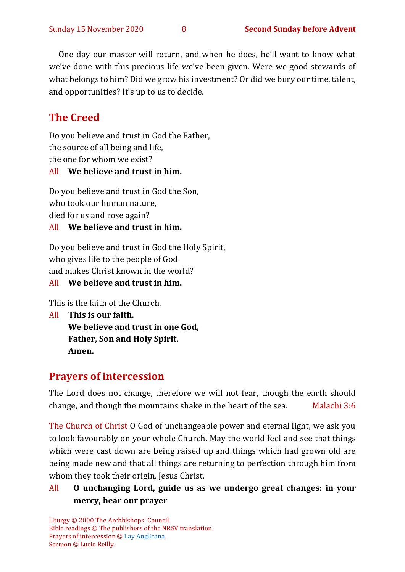One day our master will return, and when he does, he'll want to know what we've done with this precious life we've been given. Were we good stewards of what belongs to him? Did we grow his investment? Or did we bury our time, talent, and opportunities? It's up to us to decide.

# **The Creed**

Do you believe and trust in God the Father, the source of all being and life, the one for whom we exist?

#### All **We believe and trust in him.**

Do you believe and trust in God the Son, who took our human nature, died for us and rose again?

#### All **We believe and trust in him.**

Do you believe and trust in God the Holy Spirit, who gives life to the people of God and makes Christ known in the world?

#### All **We believe and trust in him.**

This is the faith of the Church.

All **This is our faith. We believe and trust in one God, Father, Son and Holy Spirit. Amen.**

# **Prayers of intercession**

The Lord does not change, therefore we will not fear, though the earth should change, and though the mountains shake in the heart of the sea. Malachi 3:6

The Church of Christ O God of unchangeable power and eternal light, we ask you to look favourably on your whole Church. May the world feel and see that things which were cast down are being raised up and things which had grown old are being made new and that all things are returning to perfection through him from whom they took their origin, Jesus Christ.

### All **O unchanging Lord, guide us as we undergo great changes: in your mercy, hear our prayer**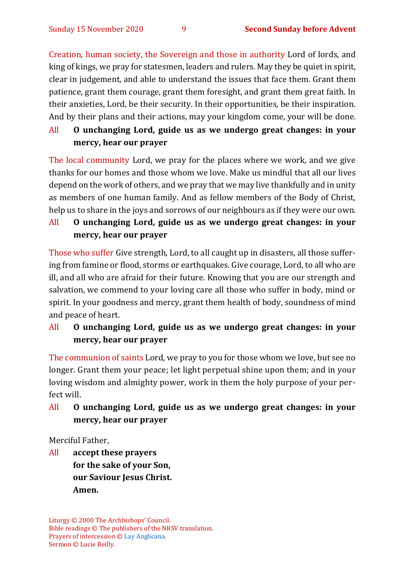Creation, human society, the Sovereign and those in authority Lord of lords, and king of kings, we pray for statesmen, leaders and rulers. May they be quiet in spirit, clear in judgement, and able to understand the issues that face them. Grant them patience, grant them courage, grant them foresight, and grant them great faith. In their anxieties, Lord, be their security. In their opportunities, be their inspiration. And by their plans and their actions, may your kingdom come, your will be done.

All **O unchanging Lord, guide us as we undergo great changes: in your mercy, hear our prayer**

The local community Lord, we pray for the places where we work, and we give thanks for our homes and those whom we love. Make us mindful that all our lives depend on the work of others, and we pray that we may live thankfully and in unity as members of one human family. And as fellow members of the Body of Christ, help us to share in the joys and sorrows of our neighbours as if they were our own.

## All **O unchanging Lord, guide us as we undergo great changes: in your mercy, hear our prayer**

Those who suffer Give strength, Lord, to all caught up in disasters, all those suffering from famine or flood, storms or earthquakes. Give courage, Lord, to all who are ill, and all who are afraid for their future. Knowing that you are our strength and salvation, we commend to your loving care all those who suffer in body, mind or spirit. In your goodness and mercy, grant them health of body, soundness of mind and peace of heart.

### All **O unchanging Lord, guide us as we undergo great changes: in your mercy, hear our prayer**

The communion of saints Lord, we pray to you for those whom we love, but see no longer. Grant them your peace; let light perpetual shine upon them; and in your loving wisdom and almighty power, work in them the holy purpose of your perfect will.

## All **O unchanging Lord, guide us as we undergo great changes: in your mercy, hear our prayer**

Merciful Father,

All **accept these prayers for the sake of your Son, our Saviour Jesus Christ. Amen.**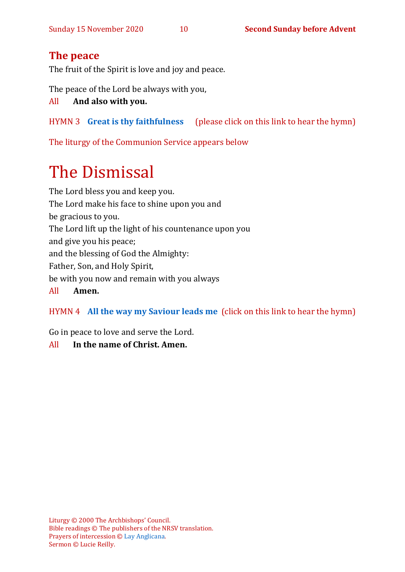### **The peace**

The fruit of the Spirit is love and joy and peace.

The peace of the Lord be always with you,

```
All And also with you.
```
HYMN 3 **[Great is thy faithfulness](https://www.youtube.com/watch?v=0k1WhFtVp0o&app=desktop)** (please click on this link to hear the hymn)

The liturgy of the Communion Service appears below

# The Dismissal

The Lord bless you and keep you. The Lord make his face to shine upon you and be gracious to you. The Lord lift up the light of his countenance upon you and give you his peace; and the blessing of God the Almighty: Father, Son, and Holy Spirit, be with you now and remain with you always All **Amen.**

HYMN 4 **[All the way my Saviour leads me](https://m.youtube.com/watch?v=ekUELQCnQlM&list=PLjqk9ptmQMmPPquJ2UtNSd4F_CVZK2dhH&index=15)** (click on this link to hear the hymn)

Go in peace to love and serve the Lord.

#### All **In the name of Christ. Amen.**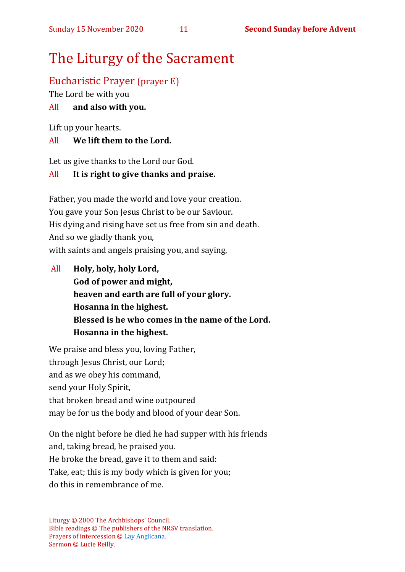# The Liturgy of the Sacrament

## Eucharistic Prayer (prayer E)

The Lord be with you

#### All **and also with you.**

Lift up your hearts.

#### All **We lift them to the Lord.**

Let us give thanks to the Lord our God.

#### All **It is right to give thanks and praise.**

Father, you made the world and love your creation. You gave your Son Jesus Christ to be our Saviour. His dying and rising have set us free from sin and death. And so we gladly thank you, with saints and angels praising you, and saying,

All **Holy, holy, holy Lord, God of power and might, heaven and earth are full of your glory. Hosanna in the highest. Blessed is he who comes in the name of the Lord. Hosanna in the highest.**

We praise and bless you, loving Father, through Jesus Christ, our Lord; and as we obey his command, send your Holy Spirit, that broken bread and wine outpoured may be for us the body and blood of your dear Son.

On the night before he died he had supper with his friends and, taking bread, he praised you. He broke the bread, gave it to them and said: Take, eat; this is my body which is given for you; do this in remembrance of me.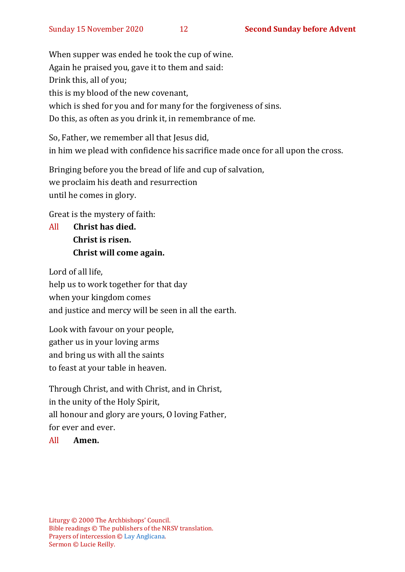When supper was ended he took the cup of wine. Again he praised you, gave it to them and said: Drink this, all of you; this is my blood of the new covenant, which is shed for you and for many for the forgiveness of sins. Do this, as often as you drink it, in remembrance of me.

So, Father, we remember all that Jesus did, in him we plead with confidence his sacrifice made once for all upon the cross.

Bringing before you the bread of life and cup of salvation, we proclaim his death and resurrection until he comes in glory.

Great is the mystery of faith:

All **Christ has died. Christ is risen. Christ will come again.**

Lord of all life, help us to work together for that day when your kingdom comes and justice and mercy will be seen in all the earth.

Look with favour on your people, gather us in your loving arms and bring us with all the saints to feast at your table in heaven.

Through Christ, and with Christ, and in Christ, in the unity of the Holy Spirit, all honour and glory are yours, O loving Father, for ever and ever.

#### All **Amen.**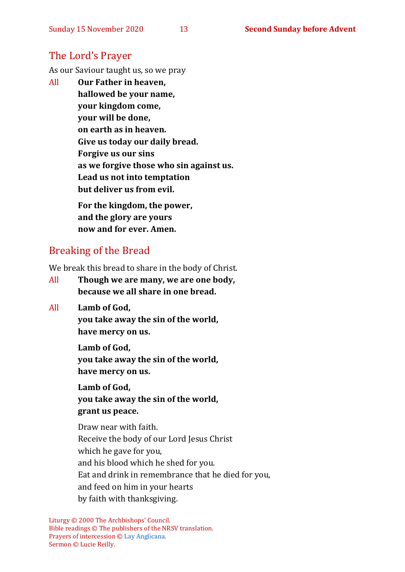# The Lord's Prayer

As our Saviour taught us, so we pray

All **Our Father in heaven, hallowed be your name, your kingdom come, your will be done, on earth as in heaven. Give us today our daily bread. Forgive us our sins as we forgive those who sin against us. Lead us not into temptation but deliver us from evil.**

**For the kingdom, the power, and the glory are yours now and for ever. Amen.**

# Breaking of the Bread

We break this bread to share in the body of Christ.

- All **Though we are many, we are one body, because we all share in one bread.**
- All **Lamb of God,**

**you take away the sin of the world, have mercy on us.**

**Lamb of God, you take away the sin of the world, have mercy on us.**

**Lamb of God,** 

**you take away the sin of the world, grant us peace.**

Draw near with faith. Receive the body of our Lord Jesus Christ which he gave for you, and his blood which he shed for you. Eat and drink in remembrance that he died for you, and feed on him in your hearts by faith with thanksgiving.